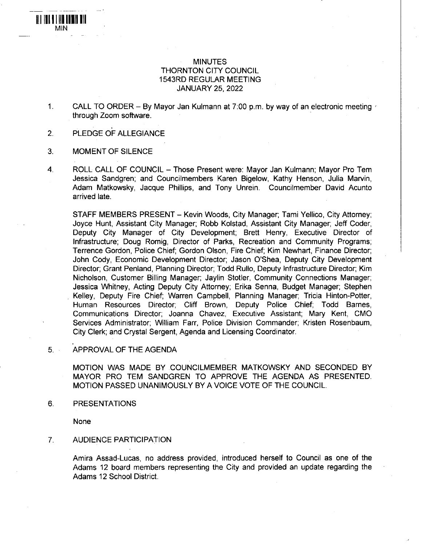## MINUTES THORNTON CITY COUNCIL 1543RD REGULAR MEETING JANUARY 25, 2022

- 1. CALL TO ORDER By Mayor Jan Kulmann at 7:00 p.m. by way of an electronic meeting through Zoom software.
- 2. PLEDGE OF ALLEGIANCE
- 3. MOMENT OF SILENCE

III III 11 III IIIII III MIN

> 4. ROLL CALL OF COUNCIL - Those Present were: Mayor Jan Kulmann; Mayor Pro Tem Jessica Sandgren; and Councilmembers Karen Bigelow, Kathy Henson, Julia Marvin, Adam Matkowsky, Jacque Phillips, and Tony Unrein. Councilmember David Acunto arrived late.

STAFF MEMBERS PRESENT - Kevin Woods, City Manager; Tami Yellico, City Attorney; Joyce Hunt, Assistant City Manager; Robb Kolstad, Assistant City Manager; Jeff Coder, Deputy City Manager of City Development; Brett Henry, Executive Director of Infrastructure; Doug Romig, Director of Parks, Recreation and Community Programs; Terrence Gordon, Police Chief; Gordon Olson, Fire Chief; Kim Newhart, Finance Director; John Cody, Economic Development Director; Jason O'Shea, Deputy City Development Director; Grant Penland, Planning Director; Todd Rullo, Deputy Infrastructure Director; Kim Nicholson, Customer Billing Manager; Jaylin Stotler, Community Connections Manager; Jessica Whitney, Acting Deputy City Attorney; Erika Senna, Budget Manager; Stephen Kelley, Deputy Fire Chief; Warren Campbell, Planning Manager; Tricia Hinton-Potter, Human Resources Director; Cliff Brown, Deputy Police Chief; Todd Barnes, Communications Director; Joanna Chavez, Executive Assistant; Mary Kent, CMO Services Administrator; William Farr, Police Division Commander; Kristen Rosenbaum, City Clerk; and Crystal Sergent, Agenda and Licensing Coordinator.

#### 5. APPROVAL OF THE AGENDA

MOTION WAS MADE BY COUNCILMEMBER MATKOWSKY AND SECONDED BY MAYOR PRO TEM SANDGREN TO APPROVE THE AGENDA AS PRESENTED. MOTION PASSED UNANIMOUSLY BY A VOICE VOTE OF THE COUNCIL.

6. PRESENTATIONS

None

# 7. AUDIENCE PARTICIPATION

Amira Assad-Lucas, no address provided, introduced herself to Council as one of the Adams 12 board members representing the City and provided an update regarding the Adams 12 School District.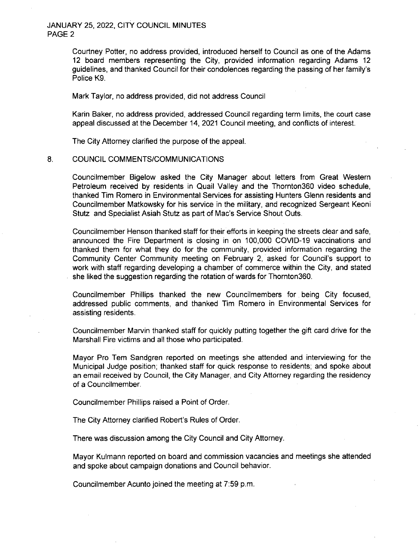### JANUARY 25. 2022, CITY COUNCIL MINUTES PAGE 2

Courtney Potter, no address provided, introduced herself to Council as one of the Adams 12 board members representing the City, provided information regarding Adams 12 guidelines, and thanked Council for their condolences regarding the passing of her family's Police K9.

Mark Taylor, no address provided, did not address Council

Karin Baker, no address provided, addressed Council regarding term limits, the court case appeal discussed at the December 14, 2021 Council meeting, and conflicts of interest.

The City Attorney clarified the purpose of the appeal.

#### 8. COUNCIL COMMENTS/COMMUNICATIONS

Councilmember Bigelow asked the City Manager about letters from Great Western Petroleum received by residents in Quail Valley and the Thornton360 video schedule, thanked Tim Romero in Environmental Services for assisting Hunters Glenn residents and Councilmember Matkowsky for his service in the military, and recognized Sergeant Keoni Stutz and Specialist Asiah Stutz as part of Mac's Service Shout Outs.

Councilmember Henson thanked staff for their efforts in keeping the streets clear and safe, announced the Fire Department is closing in on 100,000 COVID-19 vaccinations and thanked them for what they do for the community, provided information regarding the Community Center Community meeting on February 2, asked for Council's support to work with staff regarding developing a chamber of commerce within the City, and stated she liked the suggestion regarding the rotation of wards for Thornton360.

Councilmember Phillips thanked the new Councilmembers for being City focused, addressed public comments, and thanked Tim Romero in Environmental Services for assisting residents.

Councilmember Marvin thanked staff for quickly putting together the gift card drive for the Marshall Fire victims and all those who participated.

Mayor Pro Tern Sandgren reported on meetings she attended and interviewing for the Municipal Judge position; thanked staff for quick response to residents; and spoke about an email received by Council, the City Manager, and City Attorney regarding the residency of a Councilmember.

Councilmember Phillips raised a Point of Order.

The City Attorney clarified Robert's Rules of Order.

There was discussion among the City Council and City Attorney.

Mayor Kulmann reported on board and commission vacancies and meetings she attended and spoke about campaign donations and Council behavior.

Councilmember Acunto joined the meeting at 7:59 p.m.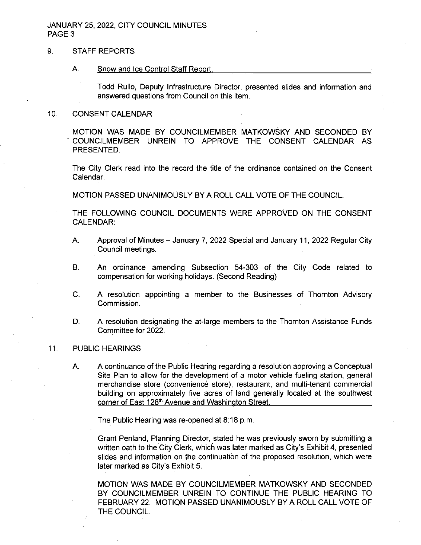## JANUARY 25, 2022, CITY COUNCIL MINUTES PAGE<sub>3</sub>

## 9. STAFF REPORTS

#### A. Snow and Ice Control Staff Report.

Todd Rullo, Deputy Infrastructure Director, presented slides and information and answered questions from Council on this item.

#### 10. CONSENT CALENDAR

MOTION WAS MADE BY COUNCILMEMBER MATKOWSKY AND SECONDED BY COUNCILMEMBER UNREIN TO APPROVE THE CONSENT CALENDAR AS PRESENTED.

The City Clerk read into the record the title of the ordinance contained on the Consent Calendar.

MOTION PASSED UNANIMOUSLY BY A ROLL CALL VOTE OF THE COUNCIL.

THE FOLLOWING COUNCIL DOCUMENTS WERE APPROVED ON THE CONSENT CALENDAR:

- A. Approval of Minutes January 7, 2022 Special and January 11, 2022 Regular City Council meetings.
- B. An ordinance amending Subsection 54-303 of the City Code related to compensation for working holidays. (Second Reading)
- C. A resolution appointing a member to the Businesses of Thornton Advisory Commission.
- D. A resolution designating the at-large members to the Thornton Assistance Funds Committee for 2022.

### 11. PUBLIC HEARINGS

A. A continuance of the Public Hearing regarding a resolution approving a Conceptual Site Plan to allow for the development of a motor vehicle fueling station, general merchandise store (convenience store), restaurant, and multi-tenant commercial building on approximately five acres of land generally located at the southwest corner of East 128<sup>th</sup> Avenue and Washington Street.

The Public Hearing was re-opened at 8:18 p.m.

Grant Penland, Planning Director, stated he was previously sworn by submitting a written oath to the City Clerk, which was later marked as City's Exhibit 4, presented slides and information on the continuation of the proposed resolution, which were later marked as City's Exhibit 5.

MOTION WAS MADE BY COUNCILMEMBER MATKOWSKY AND SECONDED BY COUNCILMEMBER UNREIN TO CONTINUE THE PUBLIC HEARING TO FEBRUARY 22. MOTION PASSED UNANIMOUSLY BY A ROLL CALL VOTE OF THE COUNCIL.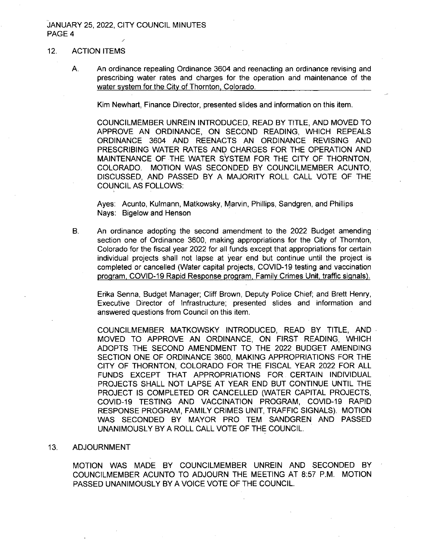#### JANUARY 25. 2022, CITY COUNCIL MINUTES PAGE 4 **y**

### 12. ACTION ITEMS

A. An ordinance repealing Ordinance 3604 and reenacting an ordinance revising and prescribing water rates and charges for the operation and maintenance of the water system for the City of Thornton. Colorado.

Kim Newhart, Finance Director, presented slides and information on this item.

COUNCILMEMBER UNREIN INTRODUCED, READ BY TITLE, AND MOVED TO APPROVE AN ORDINANCE, ON SECOND READING, WHICH REPEALS ORDINANCE 3604 AND REENACTS AN ORDINANCE REVISING AND PRESCRIBING WATER RATES AND CHARGES FOR THE OPERATION AND MAINTENANCE OF THE WATER SYSTEM FOR THE CITY OF THORNTON, COLORADO. MOTION WAS SECONDED BY COUNCILMEMBER ACUNTO, DISCUSSED, AND PASSED BY A MAJORITY ROLL CALL VOTE OF THE COUNCIL AS FOLLOWS:

Ayes: Acunto, Kulmann, Matkowsky, Marvin, Phillips, Sandgren, and Phillips Nays: Bigelow and Henson

B. An ordinance adopting the second amendment to the 2022 Budget amending section one of Ordinance 3600, making appropriations for the City of Thornton, Colorado for the fiscal year 2022 for all funds except that appropriations for certain individual projects shall not lapse at year end but continue until the project is completed or cancelled (Water capital projects, COVID-19 testing and vaccination program, COVID-19 Rapid Response program, Family Crimes Unit, traffic signals).

Erika Senna, Budget Manager; Cliff Brown, Deputy Police Chief; and Brett Henry, Executive Director of Infrastructure; presented slides and information and answered questions from Council on this item.

COUNCILMEMBER MATKOWSKY INTRODUCED, READ BY TITLE. AND MOVED TO APPROVE AN ORDINANCE, ON FIRST READING, WHICH ADOPTS THE SECOND AMENDMENT TO THE 2022 BUDGET AMENDING SECTION ONE OF ORDINANCE 3600, MAKING APPROPRIATIONS FOR THE CITY OF THORNTON, COLORADO FOR THE FISCAL YEAR 2022 FOR ALL FUNDS EXCEPT THAT APPROPRIATIONS FOR CERTAIN INDIVIDUAL PROJECTS SHALL NOT LAPSE AT YEAR END BUT CONTINUE UNTIL THE PROJECT IS COMPLETED OR CANCELLED (WATER CAPITAL PROJECTS. COVID-19 TESTING AND VACCINATION PROGRAM, COVID-19 RAPID RESPONSE PROGRAM, FAMILY CRIMES UNIT, TRAFFIC SIGNALS). MOTION WAS SECONDED BY MAYOR PRO TEM SANDGREN AND PASSED UNANIMOUSLY BY A ROLL CALL VOTE OF THE COUNCIL.

#### 13. ADJOURNMENT

MOTION WAS MADE BY COUNCILMEMBER UNREIN AND SECONDED BY COUNCILMEMBER ACUNTO TO ADJOURN THE MEETING AT 8:57 P.M. MOTION PASSED UNANIMOUSLY BY A VOICE VOTE OF THE COUNCIL.